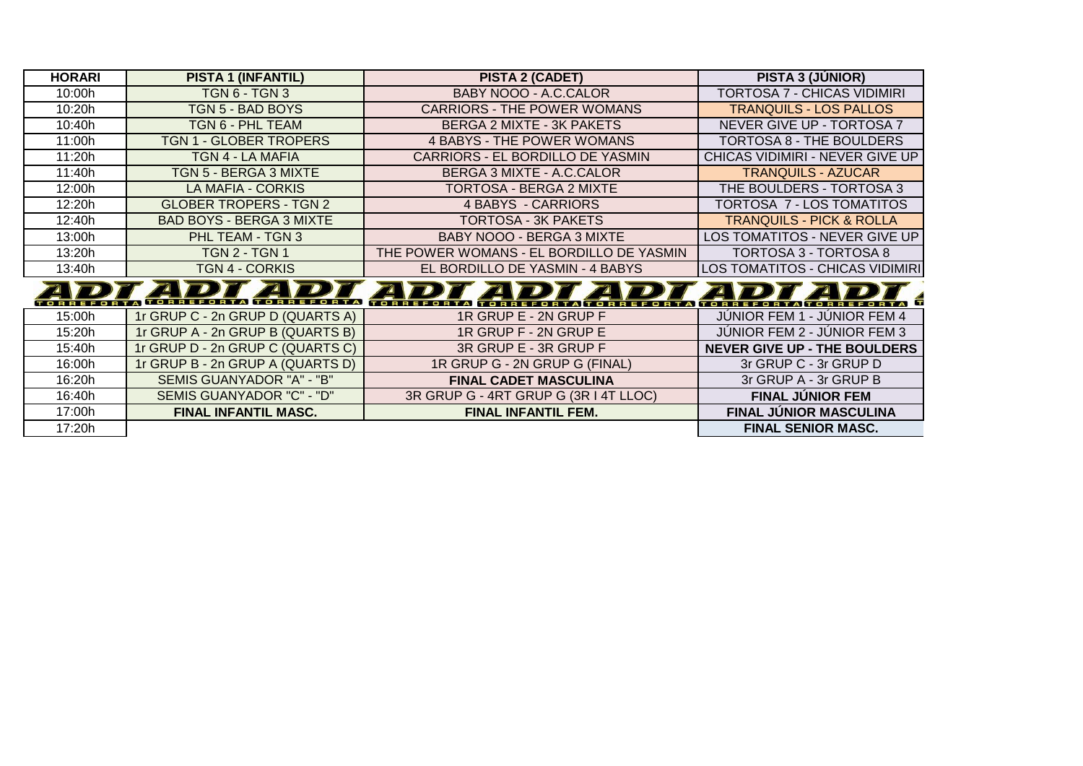| <b>HORARI</b>                                                              | <b>PISTA 1 (INFANTIL)</b>        | <b>PISTA 2 (CADET)</b>                   | PISTA 3 (JÚNIOR)                    |  |
|----------------------------------------------------------------------------|----------------------------------|------------------------------------------|-------------------------------------|--|
| 10:00h                                                                     | TGN 6 - TGN 3                    | BABY NOOO - A.C.CALOR                    | TORTOSA 7 - CHICAS VIDIMIRI         |  |
| 10:20h                                                                     | TGN 5 - BAD BOYS                 | <b>CARRIORS - THE POWER WOMANS</b>       | <b>TRANQUILS - LOS PALLOS</b>       |  |
| 10:40h                                                                     | TGN 6 - PHL TEAM                 | <b>BERGA 2 MIXTE - 3K PAKETS</b>         | NEVER GIVE UP - TORTOSA 7           |  |
| 11:00h                                                                     | TGN 1 - GLOBER TROPERS           | <b>4 BABYS - THE POWER WOMANS</b>        | TORTOSA 8 - THE BOULDERS            |  |
| 11:20h                                                                     | TGN 4 - LA MAFIA                 | CARRIORS - EL BORDILLO DE YASMIN         | CHICAS VIDIMIRI - NEVER GIVE UP     |  |
| 11:40h                                                                     | <b>TGN 5 - BERGA 3 MIXTE</b>     | BERGA 3 MIXTE - A.C.CALOR                | <b>TRANQUILS - AZUCAR</b>           |  |
| 12:00h                                                                     | <b>LA MAFIA - CORKIS</b>         | <b>TORTOSA - BERGA 2 MIXTE</b>           | THE BOULDERS - TORTOSA 3            |  |
| 12:20h                                                                     | <b>GLOBER TROPERS - TGN 2</b>    | 4 BABYS - CARRIORS                       | TORTOSA 7 - LOS TOMATITOS           |  |
| 12:40h                                                                     | <b>BAD BOYS - BERGA 3 MIXTE</b>  | <b>TORTOSA - 3K PAKETS</b>               | <b>TRANQUILS - PICK &amp; ROLLA</b> |  |
| 13:00h                                                                     | PHL TEAM - TGN 3                 | BABY NOOO - BERGA 3 MIXTE                | LOS TOMATITOS - NEVER GIVE UP       |  |
| 13:20h                                                                     | <b>TGN 2 - TGN 1</b>             | THE POWER WOMANS - EL BORDILLO DE YASMIN | TORTOSA 3 - TORTOSA 8               |  |
| 13:40h                                                                     | <b>TGN 4 - CORKIS</b>            | EL BORDILLO DE YASMIN - 4 BABYS          | LOS TOMATITOS - CHICAS VIDIMIRI     |  |
| TADI ADI ADI ADI ADI ADI AD<br>TORREFORTATORREFORTATORREFORTATORREFORTA IT |                                  |                                          |                                     |  |
| 15:00h                                                                     | 1r GRUP C - 2n GRUP D (QUARTS A) | 1R GRUP E - 2N GRUP F                    | JÚNIOR FEM 1 - JÚNIOR FEM 4         |  |
| 15:20h                                                                     | 1r GRUP A - 2n GRUP B (QUARTS B) | 1R GRUP F - 2N GRUP E                    | JÚNIOR FEM 2 - JÚNIOR FEM 3         |  |
| 15:40h                                                                     | 1r GRUP D - 2n GRUP C (QUARTS C) | 3R GRUP E - 3R GRUP F                    | <b>NEVER GIVE UP - THE BOULDERS</b> |  |
| 16:00h                                                                     | 1r GRUP B - 2n GRUP A (QUARTS D) | 1R GRUP G - 2N GRUP G (FINAL)            | 3r GRUP C - 3r GRUP D               |  |
| 16:20h                                                                     | SEMIS GUANYADOR "A" - "B"        | <b>FINAL CADET MASCULINA</b>             | 3r GRUP A - 3r GRUP B               |  |
| 16:40h                                                                     | SEMIS GUANYADOR "C" - "D"        | 3R GRUP G - 4RT GRUP G (3R I 4T LLOC)    | <b>FINAL JÚNIOR FEM</b>             |  |
| 17:00h                                                                     | <b>FINAL INFANTIL MASC.</b>      | FINAL INFANTIL FEM.                      | <b>FINAL JÚNIOR MASCULINA</b>       |  |
| 17:20h                                                                     |                                  |                                          | <b>FINAL SENIOR MASC.</b>           |  |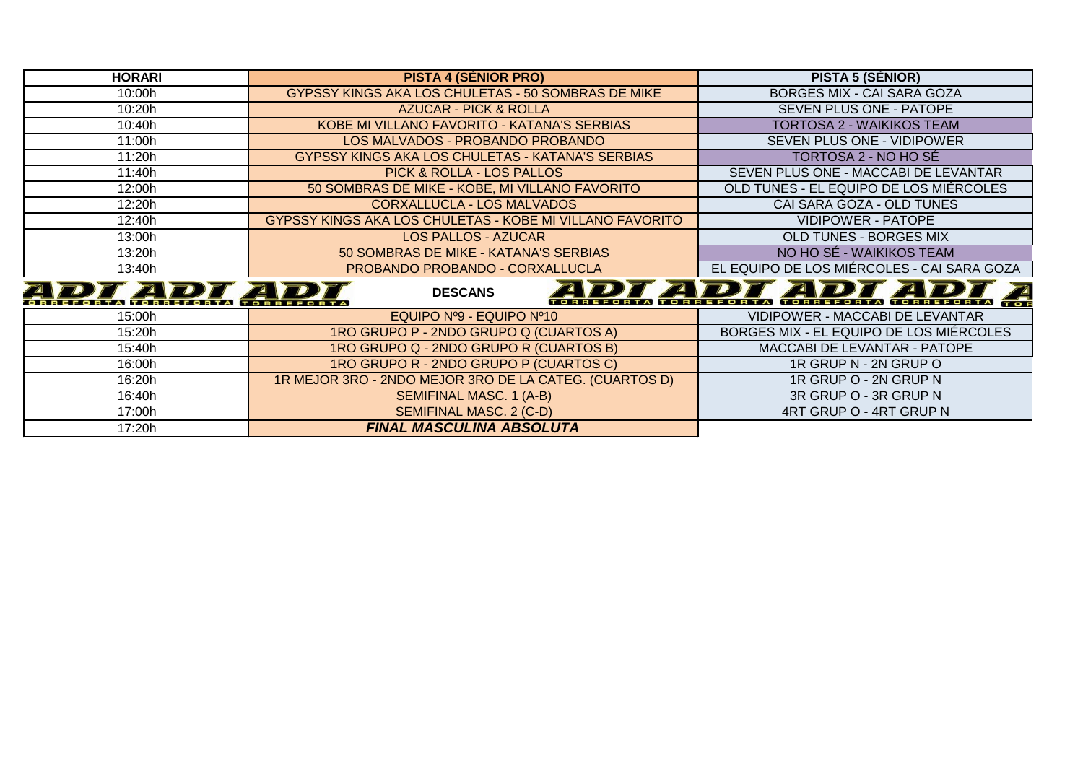| <b>HORARI</b>                                                                                                                          | <b>PISTA 4 (SÈNIOR PRO)</b>                              | <b>PISTA 5 (SENIOR)</b>                    |  |  |  |
|----------------------------------------------------------------------------------------------------------------------------------------|----------------------------------------------------------|--------------------------------------------|--|--|--|
| 10:00h                                                                                                                                 | GYPSSY KINGS AKA LOS CHULETAS - 50 SOMBRAS DE MIKE       | <b>BORGES MIX - CAI SARA GOZA</b>          |  |  |  |
| 10:20h                                                                                                                                 | <b>AZUCAR - PICK &amp; ROLLA</b>                         | SEVEN PLUS ONE - PATOPE                    |  |  |  |
| 10:40h                                                                                                                                 | KOBE MI VILLANO FAVORITO - KATANA'S SERBIAS              | <b>TORTOSA 2 - WAIKIKOS TEAM</b>           |  |  |  |
| 11:00h                                                                                                                                 | LOS MALVADOS - PROBANDO PROBANDO                         | SEVEN PLUS ONE - VIDIPOWER                 |  |  |  |
| 11:20h                                                                                                                                 | GYPSSY KINGS AKA LOS CHULETAS - KATANA'S SERBIAS         | <b>TORTOSA 2 - NO HO SÉ</b>                |  |  |  |
| 11:40h                                                                                                                                 | PICK & ROLLA - LOS PALLOS                                | SEVEN PLUS ONE - MACCABI DE LEVANTAR       |  |  |  |
| 12:00h                                                                                                                                 | 50 SOMBRAS DE MIKE - KOBE, MI VILLANO FAVORITO           | OLD TUNES - EL EQUIPO DE LOS MIÉRCOLES     |  |  |  |
| 12:20h                                                                                                                                 | <b>CORXALLUCLA - LOS MALVADOS</b>                        | CAI SARA GOZA - OLD TUNES                  |  |  |  |
| 12:40h                                                                                                                                 | GYPSSY KINGS AKA LOS CHULETAS - KOBE MI VILLANO FAVORITO | <b>VIDIPOWER - PATOPE</b>                  |  |  |  |
| 13:00h                                                                                                                                 | <b>LOS PALLOS - AZUCAR</b>                               | OLD TUNES - BORGES MIX                     |  |  |  |
| 13:20h                                                                                                                                 | 50 SOMBRAS DE MIKE - KATANA'S SERBIAS                    | NO HO SÉ - WAIKIKOS TEAM                   |  |  |  |
| PROBANDO PROBANDO - CORXALLUCLA<br>13:40h                                                                                              |                                                          | EL EQUIPO DE LOS MIÉRCOLES - CAI SARA GOZA |  |  |  |
| <b>DI ADI AI</b><br>TADTAD<br>TA<br><b>DESCANS</b><br><b>TORREFORTA TORREFORTA TORREFORTA</b> TORREFORTA<br>T O R<br><b>TORREFORTA</b> |                                                          |                                            |  |  |  |
| 15:00h                                                                                                                                 | EQUIPO Nº9 - EQUIPO Nº10                                 | VIDIPOWER - MACCABI DE LEVANTAR            |  |  |  |
| 15:20h                                                                                                                                 | 1RO GRUPO P - 2NDO GRUPO Q (CUARTOS A)                   | BORGES MIX - EL EQUIPO DE LOS MIÉRCOLES    |  |  |  |
| 15:40h                                                                                                                                 | 1RO GRUPO Q - 2NDO GRUPO R (CUARTOS B)                   | MACCABI DE LEVANTAR - PATOPE               |  |  |  |
| 16:00h                                                                                                                                 | 1RO GRUPO R - 2NDO GRUPO P (CUARTOS C)                   | 1R GRUP N - 2N GRUP O                      |  |  |  |
| 16:20h                                                                                                                                 | 1R MEJOR 3RO - 2NDO MEJOR 3RO DE LA CATEG. (CUARTOS D)   | 1R GRUP O - 2N GRUP N                      |  |  |  |
| 16:40h                                                                                                                                 | <b>SEMIFINAL MASC. 1 (A-B)</b>                           | 3R GRUP O - 3R GRUP N                      |  |  |  |
| 17:00h                                                                                                                                 | SEMIFINAL MASC. 2 (C-D)                                  | 4RT GRUP O - 4RT GRUP N                    |  |  |  |
| 17:20h                                                                                                                                 | <b>FINAL MASCULINA ABSOLUTA</b>                          |                                            |  |  |  |